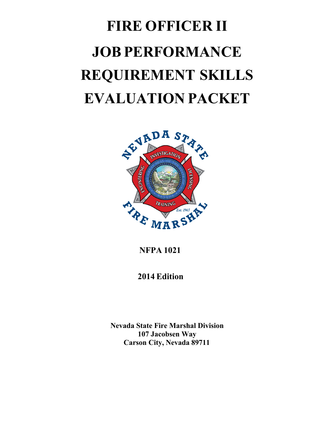# **FIRE OFFICER II JOB PERFORMANCE REQUIREMENT SKILLS EVALUATION PACKET**



**NFPA 1021**

**2014 Edition**

**Nevada State Fire Marshal Division 107 Jacobsen Way Carson City, Nevada 89711**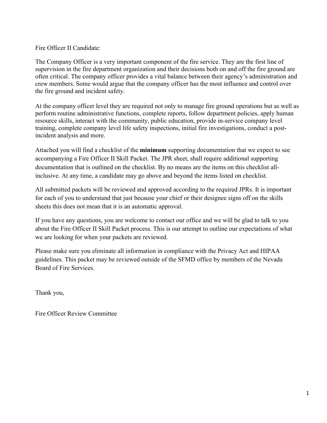#### Fire Officer II Candidate:

The Company Officer is a very important component of the fire service. They are the first line of supervision in the fire department organization and their decisions both on and off the fire ground are often critical. The company officer provides a vital balance between their agency's administration and crew members. Some would argue that the company officer has the most influence and control over the fire ground and incident safety.

At the company officer level they are required not only to manage fire ground operations but as well as perform routine administrative functions, complete reports, follow department policies, apply human resource skills, interact with the community, public education, provide in-service company level training, complete company level life safety inspections, initial fire investigations, conduct a postincident analysis and more.

Attached you will find a checklist of the **minimum** supporting documentation that we expect to see accompanying a Fire Officer II Skill Packet. The JPR sheet, shall require additional supporting documentation that is outlined on the checklist. By no means are the items on this checklist allinclusive. At any time, a candidate may go above and beyond the items listed on checklist.

All submitted packets will be reviewed and approved according to the required JPRs. It is important for each of you to understand that just because your chief or their designee signs off on the skills sheets this does not mean that it is an automatic approval.

If you have any questions, you are welcome to contact our office and we will be glad to talk to you about the Fire Officer II Skill Packet process. This is our attempt to outline our expectations of what we are looking for when your packets are reviewed.

Please make sure you eliminate all information in compliance with the Privacy Act and HIPAA guidelines. This packet may be reviewed outside of the SFMD office by members of the Nevada Board of Fire Services.

Thank you,

Fire Officer Review Committee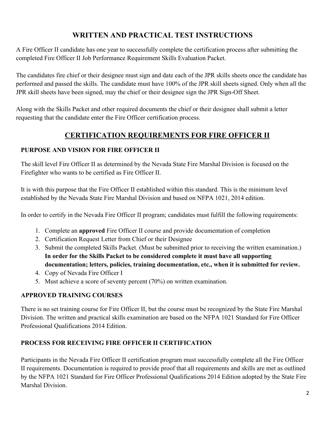### **WRITTEN AND PRACTICAL TEST INSTRUCTIONS**

A Fire Officer II candidate has one year to successfully complete the certification process after submitting the completed Fire Officer II Job Performance Requirement Skills Evaluation Packet.

The candidates fire chief or their designee must sign and date each of the JPR skills sheets once the candidate has performed and passed the skills. The candidate must have 100% of the JPR skill sheets signed. Only when all the JPR skill sheets have been signed, may the chief or their designee sign the JPR Sign-Off Sheet.

Along with the Skills Packet and other required documents the chief or their designee shall submit a letter requesting that the candidate enter the Fire Officer certification process.

### **CERTIFICATION REQUIREMENTS FOR FIRE OFFICER II**

#### **PURPOSE AND VISION FOR FIRE OFFICER II**

The skill level Fire Officer II as determined by the Nevada State Fire Marshal Division is focused on the Firefighter who wants to be certified as Fire Officer II.

It is with this purpose that the Fire Officer II established within this standard. This is the minimum level established by the Nevada State Fire Marshal Division and based on NFPA 1021, 2014 edition.

In order to certify in the Nevada Fire Officer II program; candidates must fulfill the following requirements:

- 1. Complete an **approved** Fire Officer II course and provide documentation of completion
- 2. Certification Request Letter from Chief or their Designee
- 3. Submit the completed Skills Packet. (Must be submitted prior to receiving the written examination.) **In order for the Skills Packet to be considered complete it must have all supporting documentation; letters, policies, training documentation, etc., when it is submitted for review.**
- 4. Copy of Nevada Fire Officer I
- 5. Must achieve a score of seventy percent (70%) on written examination.

### **APPROVED TRAINING COURSES**

There is no set training course for Fire Officer II, but the course must be recognized by the State Fire Marshal Division. The written and practical skills examination are based on the NFPA 1021 Standard for Fire Officer Professional Qualifications 2014 Edition.

### **PROCESS FOR RECEIVING FIRE OFFICER II CERTIFICATION**

Participants in the Nevada Fire Officer II certification program must successfully complete all the Fire Officer II requirements. Documentation is required to provide proof that all requirements and skills are met as outlined by the NFPA 1021 Standard for Fire Officer Professional Qualifications 2014 Edition adopted by the State Fire Marshal Division.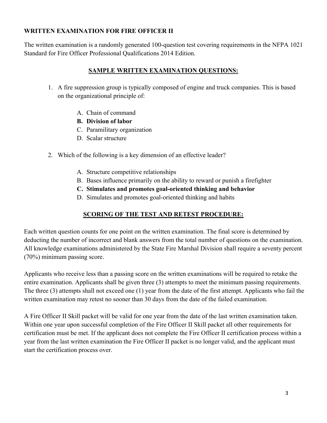#### **WRITTEN EXAMINATION FOR FIRE OFFICER II**

The written examination is a randomly generated 100-question test covering requirements in the NFPA 1021 Standard for Fire Officer Professional Qualifications 2014 Edition.

#### **SAMPLE WRITTEN EXAMINATION QUESTIONS:**

- 1. A fire suppression group is typically composed of engine and truck companies. This is based on the organizational principle of:
	- A. Chain of command
	- **B. Division of labor**
	- C. Paramilitary organization
	- D. Scalar structure
- 2. Which of the following is a key dimension of an effective leader?
	- A. Structure competitive relationships
	- B. Bases influence primarily on the ability to reward or punish a firefighter
	- **C. Stimulates and promotes goal-oriented thinking and behavior**
	- D. Simulates and promotes goal-oriented thinking and habits

### **SCORING OF THE TEST AND RETEST PROCEDURE:**

Each written question counts for one point on the written examination. The final score is determined by deducting the number of incorrect and blank answers from the total number of questions on the examination. All knowledge examinations administered by the State Fire Marshal Division shall require a seventy percent (70%) minimum passing score.

Applicants who receive less than a passing score on the written examinations will be required to retake the entire examination. Applicants shall be given three (3) attempts to meet the minimum passing requirements. The three (3) attempts shall not exceed one (1) year from the date of the first attempt. Applicants who fail the written examination may retest no sooner than 30 days from the date of the failed examination.

A Fire Officer II Skill packet will be valid for one year from the date of the last written examination taken. Within one year upon successful completion of the Fire Officer II Skill packet all other requirements for certification must be met. If the applicant does not complete the Fire Officer II certification process within a year from the last written examination the Fire Officer II packet is no longer valid, and the applicant must start the certification process over.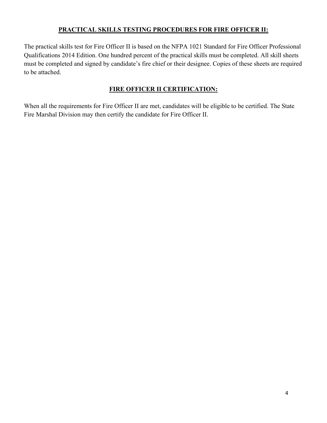#### **PRACTICAL SKILLS TESTING PROCEDURES FOR FIRE OFFICER II:**

The practical skills test for Fire Officer II is based on the NFPA 1021 Standard for Fire Officer Professional Qualifications 2014 Edition. One hundred percent of the practical skills must be completed. All skill sheets must be completed and signed by candidate's fire chief or their designee. Copies of these sheets are required to be attached.

#### **FIRE OFFICER II CERTIFICATION:**

When all the requirements for Fire Officer II are met, candidates will be eligible to be certified. The State Fire Marshal Division may then certify the candidate for Fire Officer II.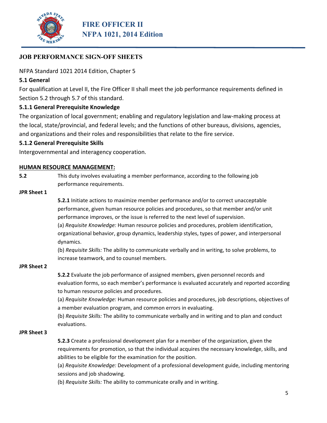

NFPA Standard 1021 2014 Edition, Chapter 5

#### **5.1 General**

For qualification at Level II, the Fire Officer II shall meet the job performance requirements defined in Section 5.2 through 5.7 of this standard.

#### **5.1.1 General Prerequisite Knowledge**

The organization of local government; enabling and regulatory legislation and law‐making process at the local, state/provincial, and federal levels; and the functions of other bureaus, divisions, agencies, and organizations and their roles and responsibilities that relate to the fire service.

#### **5.1.2 General Prerequisite Skills**

Intergovernmental and interagency cooperation.

#### **HUMAN RESOURCE MANAGEMENT:**

**5.2**  This duty involves evaluating a member performance, according to the following job performance requirements.

#### **JPR Sheet 1**

**5.2.1** Initiate actions to maximize member performance and/or to correct unacceptable performance, given human resource policies and procedures, so that member and/or unit performance improves, or the issue is referred to the next level of supervision. (a) *Requisite Knowledge:* Human resource policies and procedures, problem identification, organizational behavior, group dynamics, leadership styles, types of power, and interpersonal dynamics.

(b) *Requisite Skills:* The ability to communicate verbally and in writing, to solve problems, to increase teamwork, and to counsel members.

#### **JPR Sheet 2**

**5.2.2** Evaluate the job performance of assigned members, given personnel records and evaluation forms, so each member's performance is evaluated accurately and reported according to human resource policies and procedures.

(a) *Requisite Knowledge:* Human resource policies and procedures, job descriptions, objectives of a member evaluation program, and common errors in evaluating.

(b) *Requisite Skills:* The ability to communicate verbally and in writing and to plan and conduct evaluations.

#### **JPR Sheet 3**

**5.2.3** Create a professional development plan for a member of the organization, given the requirements for promotion, so that the individual acquires the necessary knowledge, skills, and abilities to be eligible for the examination for the position.

(a) *Requisite Knowledge:* Development of a professional development guide, including mentoring sessions and job shadowing.

(b) *Requisite Skills:* The ability to communicate orally and in writing.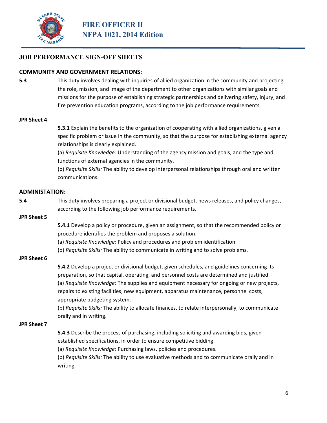

#### **COMMUNITY AND GOVERNMENT RELATIONS:**

**5.3** This duty involves dealing with inquiries of allied organization in the community and projecting the role, mission, and image of the department to other organizations with similar goals and missions for the purpose of establishing strategic partnerships and delivering safety, injury, and fire prevention education programs, according to the job performance requirements.

#### **JPR Sheet 4**

**5.3.1** Explain the benefits to the organization of cooperating with allied organizations, given a specific problem or issue in the community, so that the purpose for establishing external agency relationships is clearly explained.

(a) *Requisite Knowledge:* Understanding of the agency mission and goals, and the type and functions of external agencies in the community.

(b) *Requisite Skills:* The ability to develop interpersonal relationships through oral and written communications.

#### **ADMINISTATION:**

**5.4** This duty involves preparing a project or divisional budget, news releases, and policy changes, according to the following job performance requirements.

#### **JPR Sheet 5**

**5.4.1** Develop a policy or procedure, given an assignment, so that the recommended policy or procedure identifies the problem and proposes a solution.

- (a) *Requisite Knowledge:* Policy and procedures and problem identification.
- (b) *Requisite Skills:* The ability to communicate in writing and to solve problems.

#### **JPR Sheet 6**

**5.4.2** Develop a project or divisional budget, given schedules, and guidelines concerning its preparation, so that capital, operating, and personnel costs are determined and justified. (a) *Requisite Knowledge:* The supplies and equipment necessary for ongoing or new projects, repairs to existing facilities, new equipment, apparatus maintenance, personnel costs, appropriate budgeting system.

(b) *Requisite Skills:* The ability to allocate finances, to relate interpersonally, to communicate orally and in writing.

#### **JPR Sheet 7**

- **5.4.3** Describe the process of purchasing, including soliciting and awarding bids, given established specifications, in order to ensure competitive bidding.
- (a) *Requisite Knowledge:* Purchasing laws, policies and procedures.

(b) *Requisite Skills:* The ability to use evaluative methods and to communicate orally and in writing.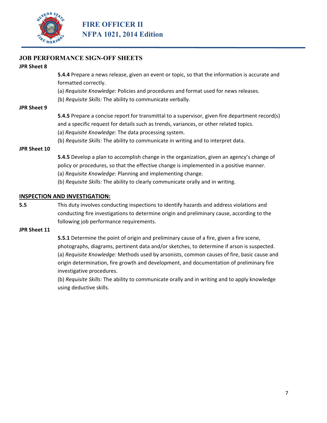

#### **JPR Sheet 8**

**5.4.4** Prepare a news release, given an event or topic, so that the information is accurate and formatted correctly.

(a) *Requisite Knowledge:* Policies and procedures and format used for news releases.

(b) *Requisite Skills:* The ability to communicate verbally.

#### **JPR Sheet 9**

**5.4.5** Prepare a concise report for transmittal to a supervisor, given fire department record(s) and a specific request for details such as trends, variances, or other related topics.

(a) *Requisite Knowledge:* The data processing system.

(b) *Requisite Skills:* The ability to communicate in writing and to interpret data.

#### **JPR Sheet 10**

**5.4.5** Develop a plan to accomplish change in the organization, given an agency's change of policy or procedures, so that the effective change is implemented in a positive manner. (a) *Requisite Knowledge:* Planning and implementing change.

(b) *Requisite Skills:* The ability to clearly communicate orally and in writing.

#### **INSPECTION AND INVESTIGATION:**

**5.5** This duty involves conducting inspections to identify hazards and address violations and conducting fire investigations to determine origin and preliminary cause, according to the following job performance requirements.

#### **JPR Sheet 11**

**5.5.1** Determine the point of origin and preliminary cause of a fire, given a fire scene, photographs, diagrams, pertinent data and/or sketches, to determine if arson is suspected. (a) *Requisite Knowledge:* Methods used by arsonists, common causes of fire, basic cause and origin determination, fire growth and development, and documentation of preliminary fire investigative procedures.

(b) *Requisite Skills:* The ability to communicate orally and in writing and to apply knowledge using deductive skills.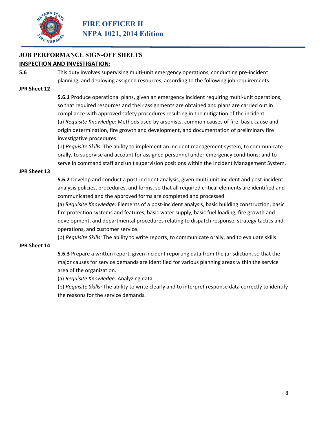

#### **JOB PERFORMANCE SIGN-OFF SHEETS INSPECTION AND INVESTIGATION:**

**5.6** This duty involves supervising multi-unit emergency operations, conducting pre-incident planning, and deploying assigned resources, according to the following job requirements.

#### **JPR Sheet 12**

**5.6.1** Produce operational plans, given an emergency incident requiring multi-unit operations, so that required resources and their assignments are obtained and plans are carried out in compliance with approved safety procedures resulting in the mitigation of the incident. (a) *Requisite Knowledge:* Methods used by arsonists, common causes of fire, basic cause and origin determination, fire growth and development, and documentation of preliminary fire investigative procedures.

(b) *Requisite Skills:* The ability to implement an incident management system, to communicate orally, to supervise and account for assigned personnel under emergency conditions; and to serve in command staff and unit supervision positions within the Incident Management System.

#### **JPR Sheet 13**

**5.6.2** Develop and conduct a post-incident analysis, given multi-unit incident and post-incident analysis policies, procedures, and forms, so that all required critical elements are identified and communicated and the approved forms are completed and processed.

(a) *Requisite Knowledge:* Elements of a post‐incident analysis, basic building construction, basic fire protection systems and features, basic water supply, basic fuel loading, fire growth and development, and departmental procedures relating to dispatch response, strategy tactics and operations, and customer service.

(b) *Requisite Skills:* The ability to write reports, to communicate orally, and to evaluate skills.

#### **JPR Sheet 14**

**5.6.3** Prepare a written report, given incident reporting data from the jurisdiction, so that the major causes for service demands are identified for various planning areas within the service area of the organization.

(a) *Requisite Knowledge:* Analyzing data.

(b) *Requisite Skills:* The ability to write clearly and to interpret response data correctly to identify the reasons for the service demands.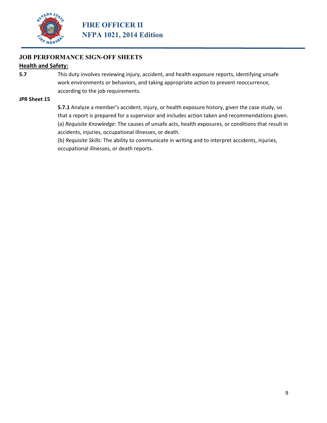

### **Health and Safety:**

**5.7** This duty involves reviewing injury, accident, and health exposure reports, identifying unsafe work environments or behaviors, and taking appropriate action to prevent reoccurrence, according to the job requirements.

#### **JPR Sheet 15**

**5.7.1** Analyze a member's accident, injury, or health exposure history, given the case study, so that a report is prepared for a supervisor and includes action taken and recommendations given. (a) *Requisite Knowledge:* The causes of unsafe acts, health exposures, or conditions that result in accidents, injuries, occupational illnesses, or death.

(b) *Requisite Skills:* The ability to communicate in writing and to interpret accidents, injuries, occupational illnesses, or death reports.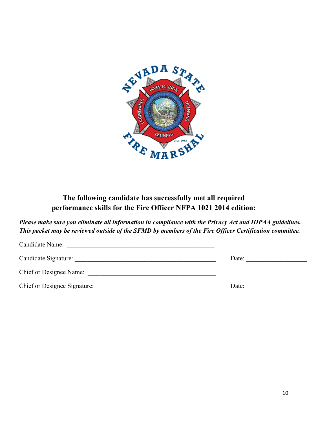

### **The following candidate has successfully met all required performance skills for the Fire Officer NFPA 1021 2014 edition:**

*Please make sure you eliminate all information in compliance with the Privacy Act and HIPAA guidelines. This packet may be reviewed outside of the SFMD by members of the Fire Officer Certification committee.* 

| Candidate Name:                |       |
|--------------------------------|-------|
| Candidate Signature:           | Date: |
| <b>Chief or Designee Name:</b> |       |
| Chief or Designee Signature:   | Date: |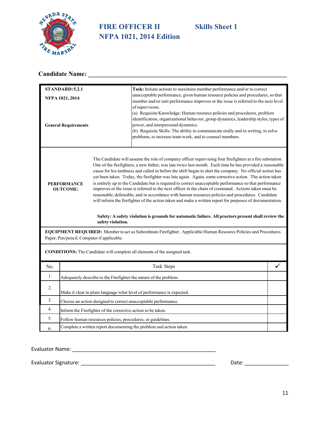

# **FIRE OFFICER II Skills Sheet 1 NFPA 1021, 2014 Edition**

# **Candidate Name: \_\_\_\_\_\_\_\_\_\_\_\_\_\_\_\_\_\_\_\_\_\_\_\_\_\_\_\_\_\_\_\_\_\_\_\_\_\_\_\_\_\_\_\_\_\_\_\_\_\_\_\_\_\_\_\_\_\_\_\_\_\_**

|     | <b>STANDARD: 5.2.1</b>                                              |                                                              | Task: Initiate actions to maximize member performance and/or to correct                                                                                                                                                                                                                                                                                                                                                                                                                                                                                                                                                                                                                                                                                                                                                                                                                                                                                                                                                                                                                                    |   |
|-----|---------------------------------------------------------------------|--------------------------------------------------------------|------------------------------------------------------------------------------------------------------------------------------------------------------------------------------------------------------------------------------------------------------------------------------------------------------------------------------------------------------------------------------------------------------------------------------------------------------------------------------------------------------------------------------------------------------------------------------------------------------------------------------------------------------------------------------------------------------------------------------------------------------------------------------------------------------------------------------------------------------------------------------------------------------------------------------------------------------------------------------------------------------------------------------------------------------------------------------------------------------------|---|
|     | NFPA 1021, 2014                                                     |                                                              | unacceptable performance, given human resource policies and procedures, so that<br>member and/or unit performance improves or the issue is referred to the next level                                                                                                                                                                                                                                                                                                                                                                                                                                                                                                                                                                                                                                                                                                                                                                                                                                                                                                                                      |   |
|     | <b>General Requirements</b>                                         |                                                              | of supervision.<br>(a) Requisite Knowledge: Human resource policies and procedures, problem<br>identification, organizational behavior, group dynamics, leadership styles, types of<br>power, and interpersonal dynamics.<br>(b) Requisite Skills: The ability to communicate orally and in writing, to solve<br>problems, to increase team work, and to counsel members.                                                                                                                                                                                                                                                                                                                                                                                                                                                                                                                                                                                                                                                                                                                                  |   |
|     | PERFORMANCE<br><b>OUTCOME:</b>                                      | safety violation.                                            | The Candidate will assume the role of company officer supervising four firefighters at a fire substation.<br>One of the firefighters, a new father, was late twice last month. Each time he has provided a reasonable<br>cause for his tardiness and called in before the shift began to alert the company. No official action has<br>yet been taken. Today, the firefighter was late again. Again, some corrective action. The action taken<br>is entirely up to the Candidate but is required to correct unacceptable performance so that performance<br>improves or the issue is referred to the next officer in the chain of command. Actions taken must be<br>reasonable, defensible, and in accordance with human resources policies and procedures. Candidate<br>will inform the firefighter of the action taken and make a written report for purposes of documentation.<br>Safety: A safety violation is grounds for automatic failure. All proctors present shall review the<br>EQUIPMENT REQUIRED: Member to act as Subordinate Firefighter. Applicable Human Resource Policies and Procedures. |   |
|     |                                                                     | Paper, Pen/pencil, Computer if applicable.                   |                                                                                                                                                                                                                                                                                                                                                                                                                                                                                                                                                                                                                                                                                                                                                                                                                                                                                                                                                                                                                                                                                                            |   |
|     |                                                                     |                                                              | <b>CONDITIONS:</b> The Candidate will complete all elements of the assigned task.                                                                                                                                                                                                                                                                                                                                                                                                                                                                                                                                                                                                                                                                                                                                                                                                                                                                                                                                                                                                                          |   |
| No. |                                                                     |                                                              | Task Steps                                                                                                                                                                                                                                                                                                                                                                                                                                                                                                                                                                                                                                                                                                                                                                                                                                                                                                                                                                                                                                                                                                 | ✓ |
| 1.  |                                                                     |                                                              | Adequately describe to the Firefighter the nature of the problem.                                                                                                                                                                                                                                                                                                                                                                                                                                                                                                                                                                                                                                                                                                                                                                                                                                                                                                                                                                                                                                          |   |
| 2.  |                                                                     |                                                              | Make it clear in plain language what level of performance is expected.                                                                                                                                                                                                                                                                                                                                                                                                                                                                                                                                                                                                                                                                                                                                                                                                                                                                                                                                                                                                                                     |   |
| 3.  |                                                                     |                                                              | Choose an action designed to correct unacceptable performance.                                                                                                                                                                                                                                                                                                                                                                                                                                                                                                                                                                                                                                                                                                                                                                                                                                                                                                                                                                                                                                             |   |
| 4.  |                                                                     | Inform the Firefighter of the corrective action to be taken. |                                                                                                                                                                                                                                                                                                                                                                                                                                                                                                                                                                                                                                                                                                                                                                                                                                                                                                                                                                                                                                                                                                            |   |
| 5.  |                                                                     | Follow human resources policies, procedures, or guidelines.  |                                                                                                                                                                                                                                                                                                                                                                                                                                                                                                                                                                                                                                                                                                                                                                                                                                                                                                                                                                                                                                                                                                            |   |
|     | Complete a written report documenting the problem and action taken. |                                                              |                                                                                                                                                                                                                                                                                                                                                                                                                                                                                                                                                                                                                                                                                                                                                                                                                                                                                                                                                                                                                                                                                                            |   |

Evaluator Name: \_\_\_\_\_\_\_\_\_\_\_\_\_\_\_\_\_\_\_\_\_\_\_\_\_\_\_\_\_\_\_\_\_\_\_\_\_\_\_\_\_\_\_\_\_\_\_\_\_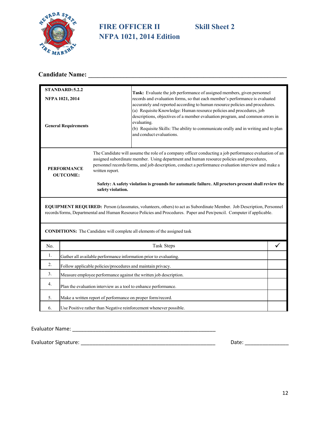

# **FIRE OFFICER II Skill Sheet 2 NFPA 1021, 2014 Edition**

# **Candidate Name: \_\_\_\_\_\_\_\_\_\_\_\_\_\_\_\_\_\_\_\_\_\_\_\_\_\_\_\_\_\_\_\_\_\_\_\_\_\_\_\_\_\_\_\_\_\_\_\_\_\_\_\_\_\_\_\_\_\_\_\_\_\_**

|                                                                               | STANDARD: 5.2.2 |                                                             | Task: Evaluate the job performance of assigned members, given personnel                                                                                                                                                                                                                                                                                                                                         |   |  |
|-------------------------------------------------------------------------------|-----------------|-------------------------------------------------------------|-----------------------------------------------------------------------------------------------------------------------------------------------------------------------------------------------------------------------------------------------------------------------------------------------------------------------------------------------------------------------------------------------------------------|---|--|
|                                                                               | NFPA 1021, 2014 |                                                             | records and evaluation forms, so that each member's performance is evaluated                                                                                                                                                                                                                                                                                                                                    |   |  |
| <b>General Requirements</b>                                                   |                 |                                                             | accurately and reported according to human resource policies and procedures.<br>(a) Requisite Knowledge: Human resource policies and procedures, job<br>descriptions, objectives of a member evaluation program, and common errors in<br>evaluating.<br>(b) Requisite Skills: The ability to communicate orally and in writing and to plan<br>and conduct evaluations.                                          |   |  |
| <b>PERFORMANCE</b><br>written report.<br><b>OUTCOME:</b><br>safety violation. |                 |                                                             | The Candidate will assume the role of a company officer conducting a job performance evaluation of an<br>assigned subordinate member. Using department and human resource policies and procedures,<br>personnel records/forms, and job description, conduct a performance evaluation interview and make a<br>Safety: A safety violation is grounds for automatic failure. All proctors present shall review the |   |  |
|                                                                               |                 |                                                             | EQUIPMENT REQUIRED: Person (classmates, volunteers, others) to act as Subordinate Member. Job Description, Personnel<br>records/forms, Departmental and Human Resource Policies and Procedures. Paper and Pen/pencil. Computer if applicable.                                                                                                                                                                   |   |  |
|                                                                               |                 |                                                             | <b>CONDITIONS:</b> The Candidate will complete all elements of the assigned task                                                                                                                                                                                                                                                                                                                                |   |  |
| No.                                                                           |                 |                                                             | Task Steps                                                                                                                                                                                                                                                                                                                                                                                                      | ✓ |  |
| 1.                                                                            |                 |                                                             | Gather all available performance information prior to evaluating.                                                                                                                                                                                                                                                                                                                                               |   |  |
| 2.                                                                            |                 | Follow applicable policies/procedures and maintain privacy. |                                                                                                                                                                                                                                                                                                                                                                                                                 |   |  |
| 3.                                                                            |                 |                                                             | Measure employee performance against the written job description.                                                                                                                                                                                                                                                                                                                                               |   |  |
| 4.                                                                            |                 |                                                             | Plan the evaluation interview as a tool to enhance performance.                                                                                                                                                                                                                                                                                                                                                 |   |  |
| 5.                                                                            |                 | Make a written report of performance on proper form/record. |                                                                                                                                                                                                                                                                                                                                                                                                                 |   |  |
| 6.                                                                            |                 |                                                             | Use Positive rather than Negative reinforcement whenever possible.                                                                                                                                                                                                                                                                                                                                              |   |  |

Evaluator Name: \_\_\_\_\_\_\_\_\_\_\_\_\_\_\_\_\_\_\_\_\_\_\_\_\_\_\_\_\_\_\_\_\_\_\_\_\_\_\_\_\_\_\_\_\_\_\_\_\_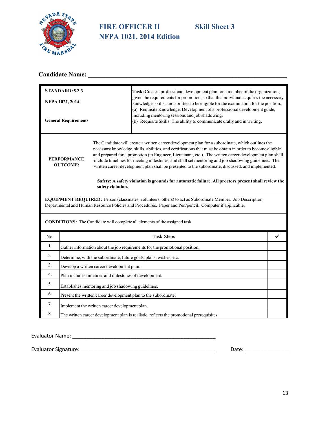

# **FIRE OFFICER II** Skill Sheet 3 **NFPA 1021, 2014 Edition**

# **Candidate Name: \_\_\_\_\_\_\_\_\_\_\_\_\_\_\_\_\_\_\_\_\_\_\_\_\_\_\_\_\_\_\_\_\_\_\_\_\_\_\_\_\_\_\_\_\_\_\_\_\_\_\_\_\_\_\_\_\_\_\_\_\_\_**

|     | STANDARD: 5.2.3                                                                                                                                                                                                             |                                                | Task: Create a professional development plan for a member of the organization,                                                                                                                                                                                                                                                                                                                                                                                                                                                          |   |
|-----|-----------------------------------------------------------------------------------------------------------------------------------------------------------------------------------------------------------------------------|------------------------------------------------|-----------------------------------------------------------------------------------------------------------------------------------------------------------------------------------------------------------------------------------------------------------------------------------------------------------------------------------------------------------------------------------------------------------------------------------------------------------------------------------------------------------------------------------------|---|
|     | NFPA 1021, 2014                                                                                                                                                                                                             |                                                | given the requirements for promotion, so that the individual acquires the necessary<br>knowledge, skills, and abilities to be eligible for the examination for the position.<br>(a) Requisite Knowledge: Development of a professional development guide,                                                                                                                                                                                                                                                                               |   |
|     | <b>General Requirements</b>                                                                                                                                                                                                 |                                                | including mentoring sessions and job shadowing.<br>(b) Requisite Skills: The ability to communicate orally and in writing.                                                                                                                                                                                                                                                                                                                                                                                                              |   |
|     | <b>PERFORMANCE</b><br><b>OUTCOME:</b>                                                                                                                                                                                       |                                                | The Candidate will create a written career development plan for a subordinate, which outlines the<br>necessary knowledge, skills, abilities, and certifications that must be obtain in order to become eligible<br>and prepared for a promotion (to Engineer, Lieutenant, etc.). The written career development plan shall<br>include timelines for meeting milestones, and shall set mentoring and job shadowing guidelines. The<br>written career development plan shall be presented to the subordinate, discussed, and implemented. |   |
|     |                                                                                                                                                                                                                             | safety violation.                              | Safety: A safety violation is grounds for automatic failure. All proctors present shall review the                                                                                                                                                                                                                                                                                                                                                                                                                                      |   |
|     | <b>EQUIPMENT REQUIRED:</b> Person (classmates, volunteers, others) to act as Subordinate Member. Job Description,<br>Departmental and Human Resource Policies and Procedures. Paper and Pen/pencil. Computer if applicable. |                                                |                                                                                                                                                                                                                                                                                                                                                                                                                                                                                                                                         |   |
|     |                                                                                                                                                                                                                             |                                                | <b>CONDITIONS:</b> The Candidate will complete all elements of the assigned task                                                                                                                                                                                                                                                                                                                                                                                                                                                        |   |
| No. |                                                                                                                                                                                                                             |                                                | Task Steps                                                                                                                                                                                                                                                                                                                                                                                                                                                                                                                              | ✓ |
| 1.  |                                                                                                                                                                                                                             |                                                | Gather information about the job requirements for the promotional position.                                                                                                                                                                                                                                                                                                                                                                                                                                                             |   |
| 2.  |                                                                                                                                                                                                                             |                                                | Determine, with the subordinate, future goals, plans, wishes, etc.                                                                                                                                                                                                                                                                                                                                                                                                                                                                      |   |
| 3.  |                                                                                                                                                                                                                             | Develop a written career development plan.     |                                                                                                                                                                                                                                                                                                                                                                                                                                                                                                                                         |   |
| 4.  | Plan includes timelines and milestones of development.                                                                                                                                                                      |                                                |                                                                                                                                                                                                                                                                                                                                                                                                                                                                                                                                         |   |
| 5.  | Establishes mentoring and job shadowing guidelines.                                                                                                                                                                         |                                                |                                                                                                                                                                                                                                                                                                                                                                                                                                                                                                                                         |   |
| 6.  | Present the written career development plan to the subordinate.                                                                                                                                                             |                                                |                                                                                                                                                                                                                                                                                                                                                                                                                                                                                                                                         |   |
| 7.  |                                                                                                                                                                                                                             | Implement the written career development plan. |                                                                                                                                                                                                                                                                                                                                                                                                                                                                                                                                         |   |
| 8.  |                                                                                                                                                                                                                             |                                                | The written career development plan is realistic, reflects the promotional prerequisites.                                                                                                                                                                                                                                                                                                                                                                                                                                               |   |

Evaluator Name: \_\_\_\_\_\_\_\_\_\_\_\_\_\_\_\_\_\_\_\_\_\_\_\_\_\_\_\_\_\_\_\_\_\_\_\_\_\_\_\_\_\_\_\_\_\_\_\_\_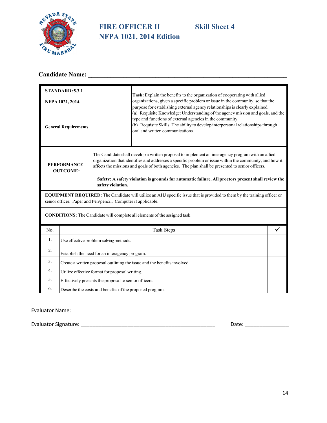

# **FIRE OFFICER II Skill Sheet 4 NFPA 1021, 2014 Edition**

# **Candidate Name: \_\_\_\_\_\_\_\_\_\_\_\_\_\_\_\_\_\_\_\_\_\_\_\_\_\_\_\_\_\_\_\_\_\_\_\_\_\_\_\_\_\_\_\_\_\_\_\_\_\_\_\_\_\_\_\_\_\_\_\_\_\_**

| STANDARD: 5.3.1                                |                                                                                                                                                                                                                                                                                                                                                                                                                                                                                      |                                                          |                                                                                                                                                                                                                                                                                                                                                                                                                                                                                                                     |  |
|------------------------------------------------|--------------------------------------------------------------------------------------------------------------------------------------------------------------------------------------------------------------------------------------------------------------------------------------------------------------------------------------------------------------------------------------------------------------------------------------------------------------------------------------|----------------------------------------------------------|---------------------------------------------------------------------------------------------------------------------------------------------------------------------------------------------------------------------------------------------------------------------------------------------------------------------------------------------------------------------------------------------------------------------------------------------------------------------------------------------------------------------|--|
| NFPA 1021, 2014<br><b>General Requirements</b> |                                                                                                                                                                                                                                                                                                                                                                                                                                                                                      |                                                          | Task: Explain the benefits to the organization of cooperating with allied<br>organizations, given a specific problem or issue in the community, so that the<br>purpose for establishing external agency relationships is clearly explained.<br>(a) Requisite Knowledge: Understanding of the agency mission and goals, and the<br>type and functions of external agencies in the community.<br>(b) Requisite Skills: The ability to develop interpersonal relationships through<br>oral and written communications. |  |
|                                                | The Candidate shall develop a written proposal to implement an interagency program with an allied<br>organization that identifies and addresses a specific problem or issue within the community, and how it<br><b>PERFORMANCE</b><br>affects the missions and goals of both agencies. The plan shall be presented to senior officers.<br><b>OUTCOME:</b><br>Safety: A safety violation is grounds for automatic failure. All proctors present shall review the<br>safety violation. |                                                          |                                                                                                                                                                                                                                                                                                                                                                                                                                                                                                                     |  |
|                                                | EQUIPMENT REQUIRED: The Candidate will utilize an AHJ specific issue that is provided to them by the training officer or<br>senior officer. Paper and Pen/pencil. Computer if applicable.                                                                                                                                                                                                                                                                                            |                                                          |                                                                                                                                                                                                                                                                                                                                                                                                                                                                                                                     |  |
|                                                |                                                                                                                                                                                                                                                                                                                                                                                                                                                                                      |                                                          | <b>CONDITIONS:</b> The Candidate will complete all elements of the assigned task                                                                                                                                                                                                                                                                                                                                                                                                                                    |  |
| No.                                            |                                                                                                                                                                                                                                                                                                                                                                                                                                                                                      |                                                          | Task Steps                                                                                                                                                                                                                                                                                                                                                                                                                                                                                                          |  |
| 1.                                             |                                                                                                                                                                                                                                                                                                                                                                                                                                                                                      | Use effective problem-solving methods.                   |                                                                                                                                                                                                                                                                                                                                                                                                                                                                                                                     |  |
| 2.                                             |                                                                                                                                                                                                                                                                                                                                                                                                                                                                                      | Establish the need for an interagency program.           |                                                                                                                                                                                                                                                                                                                                                                                                                                                                                                                     |  |
| 3.                                             |                                                                                                                                                                                                                                                                                                                                                                                                                                                                                      |                                                          | Create a written proposal outlining the issue and the benefits involved.                                                                                                                                                                                                                                                                                                                                                                                                                                            |  |
| 4.                                             |                                                                                                                                                                                                                                                                                                                                                                                                                                                                                      | Utilize effective format for proposal writing.           |                                                                                                                                                                                                                                                                                                                                                                                                                                                                                                                     |  |
| 5.                                             |                                                                                                                                                                                                                                                                                                                                                                                                                                                                                      | Effectively presents the proposal to senior officers.    |                                                                                                                                                                                                                                                                                                                                                                                                                                                                                                                     |  |
| 6.                                             |                                                                                                                                                                                                                                                                                                                                                                                                                                                                                      | Describe the costs and benefits of the proposed program. |                                                                                                                                                                                                                                                                                                                                                                                                                                                                                                                     |  |

Evaluator Name: \_\_\_\_\_\_\_\_\_\_\_\_\_\_\_\_\_\_\_\_\_\_\_\_\_\_\_\_\_\_\_\_\_\_\_\_\_\_\_\_\_\_\_\_\_\_\_\_\_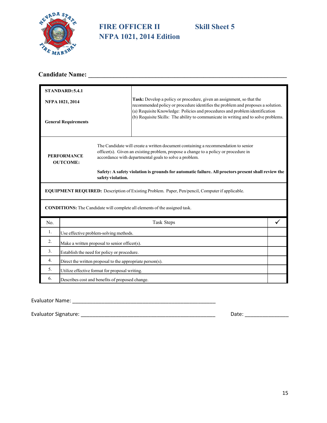

# **FIRE OFFICER II** Skill Sheet 5 **NFPA 1021, 2014 Edition**

# **Candidate Name: \_\_\_\_\_\_\_\_\_\_\_\_\_\_\_\_\_\_\_\_\_\_\_\_\_\_\_\_\_\_\_\_\_\_\_\_\_\_\_\_\_\_\_\_\_\_\_\_\_\_\_\_\_\_\_\_\_\_\_\_\_\_**

|                                       | STANDARD: 5.4.1 |                                                           |                                                                                                                                                                                                                                     |  |  |
|---------------------------------------|-----------------|-----------------------------------------------------------|-------------------------------------------------------------------------------------------------------------------------------------------------------------------------------------------------------------------------------------|--|--|
|                                       | NFPA 1021, 2014 |                                                           | Task: Develop a policy or procedure, given an assignment, so that the<br>recommended policy or procedure identifies the problem and proposes a solution.                                                                            |  |  |
| <b>General Requirements</b>           |                 |                                                           | (a) Requisite Knowledge: Policies and procedures and problem identification<br>(b) Requisite Skills: The ability to communicate in writing and to solve problems.                                                                   |  |  |
| <b>PERFORMANCE</b><br><b>OUTCOME:</b> |                 |                                                           | The Candidate will create a written document containing a recommendation to senior<br>officer(s). Given an existing problem, propose a change to a policy or procedure in<br>accordance with departmental goals to solve a problem. |  |  |
|                                       |                 | safety violation.                                         | Safety: A safety violation is grounds for automatic failure. All proctors present shall review the                                                                                                                                  |  |  |
|                                       |                 |                                                           | <b>EQUIPMENT REQUIRED:</b> Description of Existing Problem. Paper, Pen/pencil, Computer if applicable.                                                                                                                              |  |  |
|                                       |                 |                                                           | <b>CONDITIONS:</b> The Candidate will complete all elements of the assigned task.                                                                                                                                                   |  |  |
| N <sub>0</sub>                        |                 |                                                           | Task Steps                                                                                                                                                                                                                          |  |  |
| 1.                                    |                 | Use effective problem-solving methods.                    |                                                                                                                                                                                                                                     |  |  |
| 2.                                    |                 | Make a written proposal to senior officer(s).             |                                                                                                                                                                                                                                     |  |  |
| 3.                                    |                 | Establish the need for policy or procedure.               |                                                                                                                                                                                                                                     |  |  |
| $\overline{4}$ .                      |                 | Direct the written proposal to the appropriate person(s). |                                                                                                                                                                                                                                     |  |  |
| 5.                                    |                 | Utilize effective format for proposal writing.            |                                                                                                                                                                                                                                     |  |  |
| 6.                                    |                 | Describes cost and benefits of proposed change.           |                                                                                                                                                                                                                                     |  |  |

#### Evaluator Name: \_\_\_\_\_\_\_\_\_\_\_\_\_\_\_\_\_\_\_\_\_\_\_\_\_\_\_\_\_\_\_\_\_\_\_\_\_\_\_\_\_\_\_\_\_\_\_\_\_

|  | <b>Evaluator Signature</b> |  |
|--|----------------------------|--|
|  |                            |  |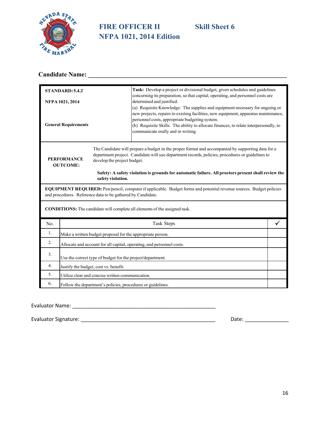

# **FIRE OFFICER II** Skill Sheet 6 **NFPA 1021, 2014 Edition**

# **Candidate Name: \_\_\_\_\_\_\_\_\_\_\_\_\_\_\_\_\_\_\_\_\_\_\_\_\_\_\_\_\_\_\_\_\_\_\_\_\_\_\_\_\_\_\_\_\_\_\_\_\_\_\_\_\_\_\_\_\_\_\_\_\_\_**

|                             | <b>STANDARD: 5.4.2</b>                |                                                             | Task: Develop a project or divisional budget, given schedules and guidelines<br>concerning its preparation, so that capital, operating, and personnel costs are                                                                                                                                                                                      |  |
|-----------------------------|---------------------------------------|-------------------------------------------------------------|------------------------------------------------------------------------------------------------------------------------------------------------------------------------------------------------------------------------------------------------------------------------------------------------------------------------------------------------------|--|
|                             | NFPA 1021, 2014                       |                                                             | determined and justified.                                                                                                                                                                                                                                                                                                                            |  |
| <b>General Requirements</b> |                                       |                                                             | (a) Requisite Knowledge: The supplies and equipment necessary for ongoing or<br>new projects, repairs to existing facilities, new equipment, apparatus maintenance,<br>personnel costs, appropriate budgeting system.<br>(b) Requisite Skills: The ability to allocate finances, to relate interpersonally, to<br>communicate orally and in writing. |  |
|                             | <b>PERFORMANCE</b><br><b>OUTCOME:</b> | develop the project budget.<br>safety violation.            | The Candidate will prepare a budget in the proper format and accompanied by supporting data for a<br>department project. Candidate will use department records, policies, procedures or guidelines to<br>Safety: A safety violation is grounds for automatic failure. All proctors present shall review the                                          |  |
|                             |                                       | and procedures. Reference data to be gathered by Candidate. | <b>EQUIPMENT REQUIRED:</b> Pen/pencil, computer if applicable. Budget forms and potential revenue sources. Budget policies                                                                                                                                                                                                                           |  |
|                             |                                       |                                                             | <b>CONDITIONS:</b> The candidate will complete all elements of the assigned task.                                                                                                                                                                                                                                                                    |  |
| N <sub>0</sub>              |                                       |                                                             | Task Steps                                                                                                                                                                                                                                                                                                                                           |  |
| 1.                          |                                       | Make a written budget proposal for the appropriate person.  |                                                                                                                                                                                                                                                                                                                                                      |  |
| 2.                          |                                       |                                                             | Allocate and account for all capital, operating, and personnel costs.                                                                                                                                                                                                                                                                                |  |
| 3.                          |                                       | Use the correct type of budget for the project/department.  |                                                                                                                                                                                                                                                                                                                                                      |  |
| 4.                          |                                       | Justify the budget, cost vs. benefit.                       |                                                                                                                                                                                                                                                                                                                                                      |  |
| 5.                          |                                       | Utilize clear and concise written communication.            |                                                                                                                                                                                                                                                                                                                                                      |  |
| 6.                          |                                       | Follow the department's policies, procedures or guidelines. |                                                                                                                                                                                                                                                                                                                                                      |  |

Evaluator Name: \_\_\_\_\_\_\_\_\_\_\_\_\_\_\_\_\_\_\_\_\_\_\_\_\_\_\_\_\_\_\_\_\_\_\_\_\_\_\_\_\_\_\_\_\_\_\_\_\_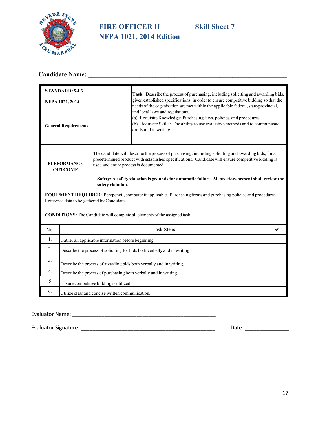

# **FIRE OFFICER II Skill Sheet 7 NFPA 1021, 2014 Edition**

# **Candidate Name: \_\_\_\_\_\_\_\_\_\_\_\_\_\_\_\_\_\_\_\_\_\_\_\_\_\_\_\_\_\_\_\_\_\_\_\_\_\_\_\_\_\_\_\_\_\_\_\_\_\_\_\_\_\_\_\_\_\_\_\_\_\_**

|                                                | STANDARD: 5.4.3                                                                                                                                                        |                                                             | Task: Describe the process of purchasing, including soliciting and awarding bids,                                                                                                                                                                                                                                 |  |  |
|------------------------------------------------|------------------------------------------------------------------------------------------------------------------------------------------------------------------------|-------------------------------------------------------------|-------------------------------------------------------------------------------------------------------------------------------------------------------------------------------------------------------------------------------------------------------------------------------------------------------------------|--|--|
| NFPA 1021, 2014<br><b>General Requirements</b> |                                                                                                                                                                        |                                                             | given established specifications, in order to ensure competitive bidding so that the                                                                                                                                                                                                                              |  |  |
|                                                |                                                                                                                                                                        |                                                             | needs of the organization are met within the applicable federal, state/provincial,<br>and local laws and regulations.<br>(a) Requisite Knowledge: Purchasing laws, policies, and procedures.<br>(b) Requisite Skills: The ability to use evaluative methods and to communicate<br>orally and in writing.          |  |  |
|                                                | <b>PERFORMANCE</b><br><b>OUTCOME:</b>                                                                                                                                  | used and entire process is documented.<br>safety violation. | The candidate will describe the process of purchasing, including soliciting and awarding bids, for a<br>predetermined product with established specifications. Candidate will ensure competitive bidding is<br>Safety: A safety violation is grounds for automatic failure. All proctors present shall review the |  |  |
|                                                | <b>EQUIPMENT REQUIRED:</b> Pen/pencil, computer if applicable. Purchasing forms and purchasing policies and procedures.<br>Reference data to be gathered by Candidate. |                                                             |                                                                                                                                                                                                                                                                                                                   |  |  |
|                                                |                                                                                                                                                                        |                                                             | <b>CONDITIONS:</b> The Candidate will complete all elements of the assigned task.                                                                                                                                                                                                                                 |  |  |
| No.                                            |                                                                                                                                                                        |                                                             | Task Steps                                                                                                                                                                                                                                                                                                        |  |  |
| 1.                                             |                                                                                                                                                                        | Gather all applicable information before beginning.         |                                                                                                                                                                                                                                                                                                                   |  |  |
| 2.                                             |                                                                                                                                                                        |                                                             | Describe the process of soliciting for bids both verbally and in writing.                                                                                                                                                                                                                                         |  |  |
| 3.                                             |                                                                                                                                                                        |                                                             | Describe the process of awarding bids both verbally and in writing.                                                                                                                                                                                                                                               |  |  |
| 4.                                             |                                                                                                                                                                        |                                                             | Describe the process of purchasing both verbally and in writing.                                                                                                                                                                                                                                                  |  |  |
| 5                                              |                                                                                                                                                                        | Ensure competitive bidding is utilized.                     |                                                                                                                                                                                                                                                                                                                   |  |  |
| 6.                                             |                                                                                                                                                                        | Utilize clear and concise written communication.            |                                                                                                                                                                                                                                                                                                                   |  |  |

Evaluator Name: \_\_\_\_\_\_\_\_\_\_\_\_\_\_\_\_\_\_\_\_\_\_\_\_\_\_\_\_\_\_\_\_\_\_\_\_\_\_\_\_\_\_\_\_\_\_\_\_\_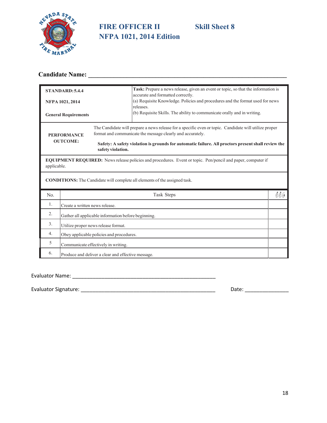

# **FIRE OFFICER II** Skill Sheet 8 **NFPA 1021, 2014 Edition**

# **Candidate Name: \_\_\_\_\_\_\_\_\_\_\_\_\_\_\_\_\_\_\_\_\_\_\_\_\_\_\_\_\_\_\_\_\_\_\_\_\_\_\_\_\_\_\_\_\_\_\_\_\_\_\_\_\_\_\_\_\_\_\_\_\_\_**

| <b>STANDARD: 5.4.4</b>                                                                                                                     |                                                                                                                     | Task: Prepare a news release, given an event or topic, so that the information is<br>accurate and formatted correctly.                                              |              |  |
|--------------------------------------------------------------------------------------------------------------------------------------------|---------------------------------------------------------------------------------------------------------------------|---------------------------------------------------------------------------------------------------------------------------------------------------------------------|--------------|--|
| NFPA 1021, 2014                                                                                                                            | (a) Requisite Knowledge. Policies and procedures and the format used for news                                       |                                                                                                                                                                     |              |  |
|                                                                                                                                            | releases.<br>(b) Requisite Skills. The ability to communicate orally and in writing.<br><b>General Requirements</b> |                                                                                                                                                                     |              |  |
| <b>PERFORMANCE</b>                                                                                                                         |                                                                                                                     | The Candidate will prepare a news release for a specific even or topic. Candidate will utilize proper<br>format and communicate the message clearly and accurately. |              |  |
| <b>OUTCOME:</b><br>Safety: A safety violation is grounds for automatic failure. All proctors present shall review the<br>safety violation. |                                                                                                                     |                                                                                                                                                                     |              |  |
| <b>EQUIPMENT REQUIRED:</b> News release policies and procedures. Event or topic. Pen/pencil and paper, computer if<br>applicable.          |                                                                                                                     |                                                                                                                                                                     |              |  |
|                                                                                                                                            |                                                                                                                     | <b>CONDITIONS:</b> The Candidate will complete all elements of the assigned task.                                                                                   |              |  |
| No.                                                                                                                                        |                                                                                                                     | Task Steps                                                                                                                                                          | <b>AIAIA</b> |  |
| 1.<br>Create a written news release.                                                                                                       |                                                                                                                     |                                                                                                                                                                     |              |  |
| 2.                                                                                                                                         | Gather all applicable information before beginning.                                                                 |                                                                                                                                                                     |              |  |
| 3.                                                                                                                                         | Utilize proper news release format.                                                                                 |                                                                                                                                                                     |              |  |
| 4.                                                                                                                                         | Obey applicable policies and procedures.                                                                            |                                                                                                                                                                     |              |  |
| 5                                                                                                                                          | Communicate effectively in writing.                                                                                 |                                                                                                                                                                     |              |  |
| 6.                                                                                                                                         | Produce and deliver a clear and effective message.                                                                  |                                                                                                                                                                     |              |  |

Evaluator Name: \_\_\_\_\_\_\_\_\_\_\_\_\_\_\_\_\_\_\_\_\_\_\_\_\_\_\_\_\_\_\_\_\_\_\_\_\_\_\_\_\_\_\_\_\_\_\_\_\_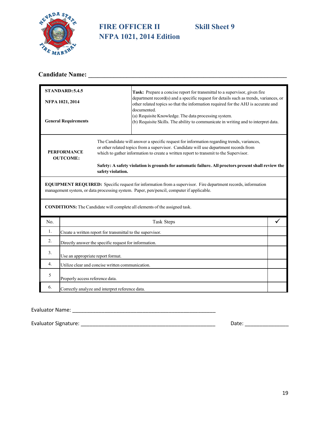

# **FIRE OFFICER II** Skill Sheet 9 **NFPA 1021, 2014 Edition**

# **Candidate Name: \_\_\_\_\_\_\_\_\_\_\_\_\_\_\_\_\_\_\_\_\_\_\_\_\_\_\_\_\_\_\_\_\_\_\_\_\_\_\_\_\_\_\_\_\_\_\_\_\_\_\_\_\_\_\_\_\_\_\_\_\_\_**

| STANDARD: 5.4.5<br>NFPA 1021, 2014<br><b>General Requirements</b> |                                                                                                                                                                                                                 |                                                            | Task: Prepare a concise report for transmittal to a supervisor, given fire<br>department record(s) and a specific request for details such as trends, variances, or<br>other related topics so that the information required for the AHJ is accurate and<br>documented.<br>(a) Requisite Knowledge. The data processing system.<br>(b) Requisite Skills. The ability to communicate in writing and to interpret data. |  |
|-------------------------------------------------------------------|-----------------------------------------------------------------------------------------------------------------------------------------------------------------------------------------------------------------|------------------------------------------------------------|-----------------------------------------------------------------------------------------------------------------------------------------------------------------------------------------------------------------------------------------------------------------------------------------------------------------------------------------------------------------------------------------------------------------------|--|
| <b>PERFORMANCE</b><br><b>OUTCOME:</b><br>safety violation.        |                                                                                                                                                                                                                 |                                                            | The Candidate will answer a specific request for information regarding trends, variances,<br>or other related topics from a supervisor. Candidate will use department records from<br>which to gather information to create a written report to transmit to the Supervisor.<br>Safety: A safety violation is grounds for automatic failure. All proctors present shall review the                                     |  |
|                                                                   | <b>EQUIPMENT REQUIRED:</b> Specific request for information from a supervisor. Fire department records, information<br>management system, or data processing system. Paper, pen/pencil, computer if applicable. |                                                            |                                                                                                                                                                                                                                                                                                                                                                                                                       |  |
|                                                                   |                                                                                                                                                                                                                 |                                                            | <b>CONDITIONS:</b> The Candidate will complete all elements of the assigned task.                                                                                                                                                                                                                                                                                                                                     |  |
| No.                                                               |                                                                                                                                                                                                                 |                                                            | Task Steps                                                                                                                                                                                                                                                                                                                                                                                                            |  |
| 1.                                                                |                                                                                                                                                                                                                 | Create a written report for transmittal to the supervisor. |                                                                                                                                                                                                                                                                                                                                                                                                                       |  |
| 2.                                                                |                                                                                                                                                                                                                 | Directly answer the specific request for information.      |                                                                                                                                                                                                                                                                                                                                                                                                                       |  |
| 3.                                                                | Use an appropriate report format.                                                                                                                                                                               |                                                            |                                                                                                                                                                                                                                                                                                                                                                                                                       |  |
| 4.                                                                | Utilize clear and concise written communication.                                                                                                                                                                |                                                            |                                                                                                                                                                                                                                                                                                                                                                                                                       |  |
| 5                                                                 | Properly access reference data.                                                                                                                                                                                 |                                                            |                                                                                                                                                                                                                                                                                                                                                                                                                       |  |
| 6.                                                                |                                                                                                                                                                                                                 | Correctly analyze and interpret reference data.            |                                                                                                                                                                                                                                                                                                                                                                                                                       |  |

Evaluator Name: \_\_\_\_\_\_\_\_\_\_\_\_\_\_\_\_\_\_\_\_\_\_\_\_\_\_\_\_\_\_\_\_\_\_\_\_\_\_\_\_\_\_\_\_\_\_\_\_\_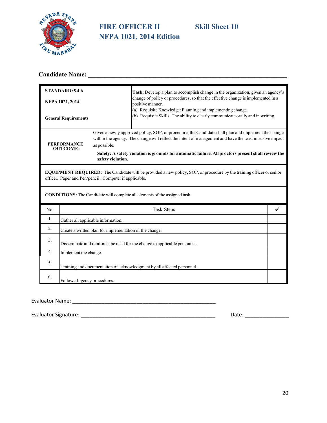

# **FIRE OFFICER II Skill Sheet 10 NFPA 1021, 2014 Edition**

# **Candidate Name: \_\_\_\_\_\_\_\_\_\_\_\_\_\_\_\_\_\_\_\_\_\_\_\_\_\_\_\_\_\_\_\_\_\_\_\_\_\_\_\_\_\_\_\_\_\_\_\_\_\_\_\_\_\_\_\_\_\_\_\_\_\_**

| STANDARD: 5.4.6             |                                                                                                                                                                                       |                                                         | Task: Develop a plan to accomplish change in the organization, given an agency's                                                                                                                                                                                                                                     |  |  |
|-----------------------------|---------------------------------------------------------------------------------------------------------------------------------------------------------------------------------------|---------------------------------------------------------|----------------------------------------------------------------------------------------------------------------------------------------------------------------------------------------------------------------------------------------------------------------------------------------------------------------------|--|--|
|                             | NFPA 1021, 2014                                                                                                                                                                       |                                                         | change of policy or procedures, so that the effective change is implemented in a<br>positive manner.                                                                                                                                                                                                                 |  |  |
| <b>General Requirements</b> |                                                                                                                                                                                       |                                                         | (a) Requisite Knowledge: Planning and implementing change.<br>(b) Requisite Skills: The ability to clearly communicate orally and in writing.                                                                                                                                                                        |  |  |
|                             | <b>PERFORMANCE</b><br><b>OUTCOME:</b>                                                                                                                                                 | as possible.<br>safety violation.                       | Given a newly approved policy, SOP, or procedure, the Candidate shall plan and implement the change<br>within the agency. The change will reflect the intent of management and have the least intrusive impact<br>Safety: A safety violation is grounds for automatic failure. All proctors present shall review the |  |  |
|                             | <b>EQUIPMENT REQUIRED:</b> The Candidate will be provided a new policy, SOP, or procedure by the training officer or senior<br>officer. Paper and Pen/pencil. Computer if applicable. |                                                         |                                                                                                                                                                                                                                                                                                                      |  |  |
|                             |                                                                                                                                                                                       |                                                         | <b>CONDITIONS:</b> The Candidate will complete all elements of the assigned task                                                                                                                                                                                                                                     |  |  |
| No.                         |                                                                                                                                                                                       |                                                         | Task Steps                                                                                                                                                                                                                                                                                                           |  |  |
| 1.                          |                                                                                                                                                                                       | Gather all applicable information.                      |                                                                                                                                                                                                                                                                                                                      |  |  |
| 2.                          |                                                                                                                                                                                       | Create a written plan for implementation of the change. |                                                                                                                                                                                                                                                                                                                      |  |  |
| 3.                          | Disseminate and reinforce the need for the change to applicable personnel.                                                                                                            |                                                         |                                                                                                                                                                                                                                                                                                                      |  |  |
| 4.                          | Implement the change.                                                                                                                                                                 |                                                         |                                                                                                                                                                                                                                                                                                                      |  |  |
| 5.                          |                                                                                                                                                                                       |                                                         | Training and documentation of acknowledgment by all affected personnel.                                                                                                                                                                                                                                              |  |  |
| 6.                          | Followed agency procedures.                                                                                                                                                           |                                                         |                                                                                                                                                                                                                                                                                                                      |  |  |

#### Evaluator Name: \_\_\_\_\_\_\_\_\_\_\_\_\_\_\_\_\_\_\_\_\_\_\_\_\_\_\_\_\_\_\_\_\_\_\_\_\_\_\_\_\_\_\_\_\_\_\_\_\_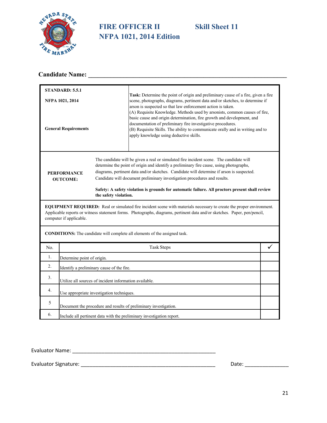

# **FIRE OFFICER II Skill Sheet 11 NFPA 1021, 2014 Edition**

# **Candidate Name: \_\_\_\_\_\_\_\_\_\_\_\_\_\_\_\_\_\_\_\_\_\_\_\_\_\_\_\_\_\_\_\_\_\_\_\_\_\_\_\_\_\_\_\_\_\_\_\_\_\_\_\_\_\_\_\_\_\_\_\_\_\_**

| <b>STANDARD: 5.5.1</b>                |                                                                                                                                                                                                                                                                             |                       |                                                                                                                                                                                                                                                                                                                                                                                                                                                                |  |  |
|---------------------------------------|-----------------------------------------------------------------------------------------------------------------------------------------------------------------------------------------------------------------------------------------------------------------------------|-----------------------|----------------------------------------------------------------------------------------------------------------------------------------------------------------------------------------------------------------------------------------------------------------------------------------------------------------------------------------------------------------------------------------------------------------------------------------------------------------|--|--|
| NFPA 1021, 2014                       |                                                                                                                                                                                                                                                                             |                       | <b>Task:</b> Determine the point of origin and preliminary cause of a fire, given a fire<br>scene, photographs, diagrams, pertinent data and/or sketches, to determine if                                                                                                                                                                                                                                                                                      |  |  |
| <b>General Requirements</b>           |                                                                                                                                                                                                                                                                             |                       | arson is suspected so that law enforcement action is taken.<br>(A) Requisite Knowledge. Methods used by arsonists, common causes of fire,<br>basic cause and origin determination, fire growth and development, and<br>documentation of preliminary fire investigative procedures.<br>(B) Requisite Skills. The ability to communicate orally and in writing and to<br>apply knowledge using deductive skills.                                                 |  |  |
| <b>PERFORMANCE</b><br><b>OUTCOME:</b> |                                                                                                                                                                                                                                                                             | the safety violation. | The candidate will be given a real or simulated fire incident scene. The candidate will<br>determine the point of origin and identify a preliminary fire cause, using photographs,<br>diagrams, pertinent data and/or sketches. Candidate will determine if arson is suspected.<br>Candidate will document preliminary investigation procedures and results.<br>Safety: A safety violation is grounds for automatic failure. All proctors present shall review |  |  |
|                                       | EQUIPMENT REQUIRED: Real or simulated fire incident scene with materials necessary to create the proper environment.<br>Applicable reports or witness statement forms. Photographs, diagrams, pertinent data and/or sketches. Paper, pen/pencil,<br>computer if applicable. |                       |                                                                                                                                                                                                                                                                                                                                                                                                                                                                |  |  |
|                                       | <b>CONDITIONS:</b> The candidate will complete all elements of the assigned task.                                                                                                                                                                                           |                       |                                                                                                                                                                                                                                                                                                                                                                                                                                                                |  |  |
| No.                                   |                                                                                                                                                                                                                                                                             |                       | <b>Task Steps</b>                                                                                                                                                                                                                                                                                                                                                                                                                                              |  |  |
| 1.                                    | Determine point of origin.                                                                                                                                                                                                                                                  |                       |                                                                                                                                                                                                                                                                                                                                                                                                                                                                |  |  |
| 2.                                    | Identify a preliminary cause of the fire.                                                                                                                                                                                                                                   |                       |                                                                                                                                                                                                                                                                                                                                                                                                                                                                |  |  |
| 3.                                    | Utilize all sources of incident information available.                                                                                                                                                                                                                      |                       |                                                                                                                                                                                                                                                                                                                                                                                                                                                                |  |  |
| 4.                                    | Use appropriate investigation techniques.                                                                                                                                                                                                                                   |                       |                                                                                                                                                                                                                                                                                                                                                                                                                                                                |  |  |
| 5                                     | Document the procedure and results of preliminary investigation.                                                                                                                                                                                                            |                       |                                                                                                                                                                                                                                                                                                                                                                                                                                                                |  |  |
| 6.                                    | Include all pertinent data with the preliminary investigation report.                                                                                                                                                                                                       |                       |                                                                                                                                                                                                                                                                                                                                                                                                                                                                |  |  |

Evaluator Name: \_\_\_\_\_\_\_\_\_\_\_\_\_\_\_\_\_\_\_\_\_\_\_\_\_\_\_\_\_\_\_\_\_\_\_\_\_\_\_\_\_\_\_\_\_\_\_\_\_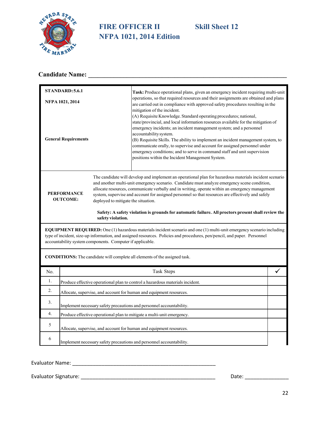

# **FIRE OFFICER II Skill Sheet 12 NFPA 1021, 2014 Edition**

# **Candidate Name: \_\_\_\_\_\_\_\_\_\_\_\_\_\_\_\_\_\_\_\_\_\_\_\_\_\_\_\_\_\_\_\_\_\_\_\_\_\_\_\_\_\_\_\_\_\_\_\_\_\_\_\_\_\_\_\_\_\_\_\_\_\_**

| <b>STANDARD: 5.6.1</b>                                                       |                                                                                                                                                                                                                                                                                                                |                   | Task: Produce operational plans, given an emergency incident requiring multi-unit                                                                                                                                                                                                                                                                                                                                                                                                                                                                                                       |   |  |
|------------------------------------------------------------------------------|----------------------------------------------------------------------------------------------------------------------------------------------------------------------------------------------------------------------------------------------------------------------------------------------------------------|-------------------|-----------------------------------------------------------------------------------------------------------------------------------------------------------------------------------------------------------------------------------------------------------------------------------------------------------------------------------------------------------------------------------------------------------------------------------------------------------------------------------------------------------------------------------------------------------------------------------------|---|--|
| NFPA 1021, 2014                                                              |                                                                                                                                                                                                                                                                                                                |                   | operations, so that required resources and their assignments are obtained and plans<br>are carried out in compliance with approved safety procedures resulting in the                                                                                                                                                                                                                                                                                                                                                                                                                   |   |  |
| <b>General Requirements</b>                                                  |                                                                                                                                                                                                                                                                                                                |                   | mitigation of the incident.<br>(A) Requisite Knowledge. Standard operating procedures; national,<br>state/provincial, and local information resources available for the mitigation of<br>emergency incidents; an incident management system; and a personnel<br>accountability system.<br>(B) Requisite Skills. The ability to implement an incident management system, to<br>communicate orally, to supervise and account for assigned personnel under<br>emergency conditions; and to serve in command staff and unit supervision<br>positions within the Incident Management System. |   |  |
| <b>PERFORMANCE</b><br><b>OUTCOME:</b><br>deployed to mitigate the situation. |                                                                                                                                                                                                                                                                                                                |                   | The candidate will develop and implement an operational plan for hazardous materials incident scenario<br>and another multi-unit emergency scenario. Candidate must analyze emergency scene condition,<br>allocate resources, communicate verbally and in writing, operate within an emergency management<br>system, supervise and account for assigned personnel so that resources are effectively and safely<br>Safety: A safety violation is grounds for automatic failure. All proctors present shall review the                                                                    |   |  |
|                                                                              |                                                                                                                                                                                                                                                                                                                | safety violation. |                                                                                                                                                                                                                                                                                                                                                                                                                                                                                                                                                                                         |   |  |
|                                                                              | EQUIPMENT REQUIRED: One (1) hazardous materials incident scenario and one (1) multi-unit emergency scenario including<br>type of incident, size-up information, and assigned resources. Policies and procedures, pen/pencil, and paper. Personnel<br>accountability system components. Computer if applicable. |                   |                                                                                                                                                                                                                                                                                                                                                                                                                                                                                                                                                                                         |   |  |
| CONDITIONS: The candidate will complete all elements of the assigned task.   |                                                                                                                                                                                                                                                                                                                |                   |                                                                                                                                                                                                                                                                                                                                                                                                                                                                                                                                                                                         |   |  |
| No.                                                                          |                                                                                                                                                                                                                                                                                                                |                   | Task Steps                                                                                                                                                                                                                                                                                                                                                                                                                                                                                                                                                                              | ✓ |  |
| 1.                                                                           | Produce effective operational plan to control a hazardous materials incident.                                                                                                                                                                                                                                  |                   |                                                                                                                                                                                                                                                                                                                                                                                                                                                                                                                                                                                         |   |  |
| 2.                                                                           | Allocate, supervise, and account for human and equipment resources.                                                                                                                                                                                                                                            |                   |                                                                                                                                                                                                                                                                                                                                                                                                                                                                                                                                                                                         |   |  |
| 3.                                                                           | Implement necessary safety precautions and personnel accountability.                                                                                                                                                                                                                                           |                   |                                                                                                                                                                                                                                                                                                                                                                                                                                                                                                                                                                                         |   |  |
| 4.                                                                           | Produce effective operational plan to mitigate a multi-unit emergency.                                                                                                                                                                                                                                         |                   |                                                                                                                                                                                                                                                                                                                                                                                                                                                                                                                                                                                         |   |  |
| 5                                                                            | Allocate, supervise, and account for human and equipment resources.                                                                                                                                                                                                                                            |                   |                                                                                                                                                                                                                                                                                                                                                                                                                                                                                                                                                                                         |   |  |
| 6                                                                            |                                                                                                                                                                                                                                                                                                                |                   | Implement necessary safety precautions and personnel accountability.                                                                                                                                                                                                                                                                                                                                                                                                                                                                                                                    |   |  |

Evaluator Name: \_\_\_\_\_\_\_\_\_\_\_\_\_\_\_\_\_\_\_\_\_\_\_\_\_\_\_\_\_\_\_\_\_\_\_\_\_\_\_\_\_\_\_\_\_\_\_\_\_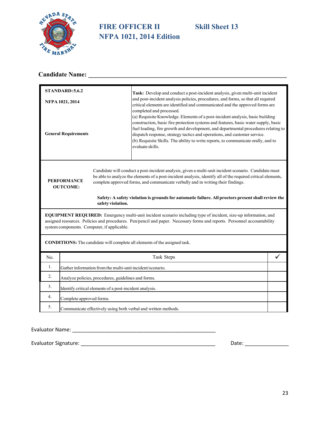

# **FIRE OFFICER II** Skill Sheet 13 **NFPA 1021, 2014 Edition**

# **Candidate Name: \_\_\_\_\_\_\_\_\_\_\_\_\_\_\_\_\_\_\_\_\_\_\_\_\_\_\_\_\_\_\_\_\_\_\_\_\_\_\_\_\_\_\_\_\_\_\_\_\_\_\_\_\_\_\_\_\_\_\_\_\_\_**

| STANDARD: 5.6.2                                                                                                                                                                                                                                                                                                                                                                                                                                                               |                                                                |  | Task: Develop and conduct a post-incident analysis, given multi-unit incident                                                                                                                                                                                                                                                                                                                                                                                                |   |  |
|-------------------------------------------------------------------------------------------------------------------------------------------------------------------------------------------------------------------------------------------------------------------------------------------------------------------------------------------------------------------------------------------------------------------------------------------------------------------------------|----------------------------------------------------------------|--|------------------------------------------------------------------------------------------------------------------------------------------------------------------------------------------------------------------------------------------------------------------------------------------------------------------------------------------------------------------------------------------------------------------------------------------------------------------------------|---|--|
| NFPA 1021, 2014                                                                                                                                                                                                                                                                                                                                                                                                                                                               |                                                                |  | and post-incident analysis policies, procedures, and forms, so that all required<br>critical elements are identified and communicated and the approved forms are                                                                                                                                                                                                                                                                                                             |   |  |
| <b>General Requirements</b>                                                                                                                                                                                                                                                                                                                                                                                                                                                   |                                                                |  | completed and processed.<br>(a) Requisite Knowledge. Elements of a post-incident analysis, basic building<br>construction, basic fire protection systems and features, basic water supply, basic<br>fuel loading, fire growth and development, and departmental procedures relating to<br>dispatch response, strategy tactics and operations, and customer service.<br>(b) Requisite Skills. The ability to write reports, to communicate orally, and to<br>evaluate skills. |   |  |
| Candidate will conduct a post-incident analysis, given a multi-unit incident scenario. Candidate must<br>be able to analyze the elements of a post-incident analysis, identify all of the required critical elements,<br><b>PERFORMANCE</b><br>complete approved forms, and communicate verbally and in writing their findings.<br><b>OUTCOME:</b><br>Safety: A safety violation is grounds for automatic failure. All proctors present shall review the<br>safety violation. |                                                                |  |                                                                                                                                                                                                                                                                                                                                                                                                                                                                              |   |  |
| <b>EQUIPMENT REQUIRED:</b> Emergency multi-unit incident scenario including type of incident, size-up information, and<br>assigned resources. Policies and procedures. Pen/pencil and paper. Necessary forms and reports. Personnel accountability<br>system components. Computer, if applicable.                                                                                                                                                                             |                                                                |  |                                                                                                                                                                                                                                                                                                                                                                                                                                                                              |   |  |
| CONDITIONS: The candidate will complete all elements of the assigned task.                                                                                                                                                                                                                                                                                                                                                                                                    |                                                                |  |                                                                                                                                                                                                                                                                                                                                                                                                                                                                              |   |  |
| No.                                                                                                                                                                                                                                                                                                                                                                                                                                                                           |                                                                |  | Task Steps                                                                                                                                                                                                                                                                                                                                                                                                                                                                   | ✓ |  |
| 1.                                                                                                                                                                                                                                                                                                                                                                                                                                                                            | Gather information from the multi-unit incident/scenario.      |  |                                                                                                                                                                                                                                                                                                                                                                                                                                                                              |   |  |
| 2.                                                                                                                                                                                                                                                                                                                                                                                                                                                                            | Analyze policies, procedures, guidelines and forms.            |  |                                                                                                                                                                                                                                                                                                                                                                                                                                                                              |   |  |
| 3.                                                                                                                                                                                                                                                                                                                                                                                                                                                                            | Identify critical elements of a post-incident analysis.        |  |                                                                                                                                                                                                                                                                                                                                                                                                                                                                              |   |  |
| 4.                                                                                                                                                                                                                                                                                                                                                                                                                                                                            | Complete approved forms.                                       |  |                                                                                                                                                                                                                                                                                                                                                                                                                                                                              |   |  |
| 5.                                                                                                                                                                                                                                                                                                                                                                                                                                                                            | Communicate effectively using both verbal and written methods. |  |                                                                                                                                                                                                                                                                                                                                                                                                                                                                              |   |  |

Evaluator Name: \_\_\_\_\_\_\_\_\_\_\_\_\_\_\_\_\_\_\_\_\_\_\_\_\_\_\_\_\_\_\_\_\_\_\_\_\_\_\_\_\_\_\_\_\_\_\_\_\_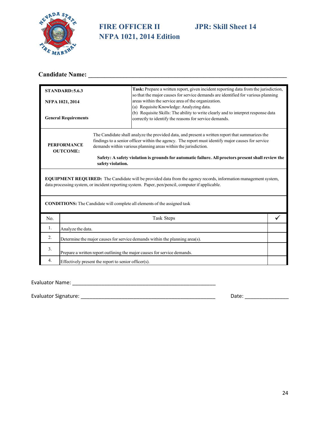

# **FIRE OFFICER II JPR: Skill Sheet 14 NFPA 1021, 2014 Edition**

# **Candidate Name: \_\_\_\_\_\_\_\_\_\_\_\_\_\_\_\_\_\_\_\_\_\_\_\_\_\_\_\_\_\_\_\_\_\_\_\_\_\_\_\_\_\_\_\_\_\_\_\_\_\_\_\_\_\_\_\_\_\_\_\_\_\_**

| STANDARD: 5.6.3                                                                                                                                                                                                            |                                                                             |                                                                                                                                                                                                                                                                        | Task: Prepare a written report, given incident reporting data from the jurisdiction,<br>so that the major causes for service demands are identified for various planning |  |
|----------------------------------------------------------------------------------------------------------------------------------------------------------------------------------------------------------------------------|-----------------------------------------------------------------------------|------------------------------------------------------------------------------------------------------------------------------------------------------------------------------------------------------------------------------------------------------------------------|--------------------------------------------------------------------------------------------------------------------------------------------------------------------------|--|
|                                                                                                                                                                                                                            | NFPA 1021, 2014                                                             |                                                                                                                                                                                                                                                                        | areas within the service area of the organization.<br>(a) Requisite Knowledge: Analyzing data.                                                                           |  |
|                                                                                                                                                                                                                            | <b>General Requirements</b>                                                 |                                                                                                                                                                                                                                                                        | (b) Requisite Skills: The ability to write clearly and to interpret response data<br>correctly to identify the reasons for service demands.                              |  |
| <b>PERFORMANCE</b><br><b>OUTCOME:</b>                                                                                                                                                                                      |                                                                             | The Candidate shall analyze the provided data, and present a written report that summarizes the<br>findings to a senior officer within the agency. The report must identify major causes for service<br>demands within various planning areas within the jurisdiction. |                                                                                                                                                                          |  |
|                                                                                                                                                                                                                            |                                                                             | Safety: A safety violation is grounds for automatic failure. All proctors present shall review the<br>safety violation.                                                                                                                                                |                                                                                                                                                                          |  |
| <b>EQUIPMENT REQUIRED:</b> The Candidate will be provided data from the agency records, information management system,<br>data processing system, or incident reporting system. Paper, pen/pencil, computer if applicable. |                                                                             |                                                                                                                                                                                                                                                                        |                                                                                                                                                                          |  |
| <b>CONDITIONS:</b> The Candidate will complete all elements of the assigned task                                                                                                                                           |                                                                             |                                                                                                                                                                                                                                                                        |                                                                                                                                                                          |  |
| No.                                                                                                                                                                                                                        |                                                                             |                                                                                                                                                                                                                                                                        | Task Steps                                                                                                                                                               |  |
| 1.                                                                                                                                                                                                                         | Analyze the data.                                                           |                                                                                                                                                                                                                                                                        |                                                                                                                                                                          |  |
| 2.                                                                                                                                                                                                                         | Determine the major causes for service demands within the planning area(s). |                                                                                                                                                                                                                                                                        |                                                                                                                                                                          |  |
| 3.                                                                                                                                                                                                                         | Prepare a written report outlining the major causes for service demands.    |                                                                                                                                                                                                                                                                        |                                                                                                                                                                          |  |
| 4.                                                                                                                                                                                                                         |                                                                             | Effectively present the report to senior officer(s).                                                                                                                                                                                                                   |                                                                                                                                                                          |  |

Evaluator Name: \_\_\_\_\_\_\_\_\_\_\_\_\_\_\_\_\_\_\_\_\_\_\_\_\_\_\_\_\_\_\_\_\_\_\_\_\_\_\_\_\_\_\_\_\_\_\_\_\_